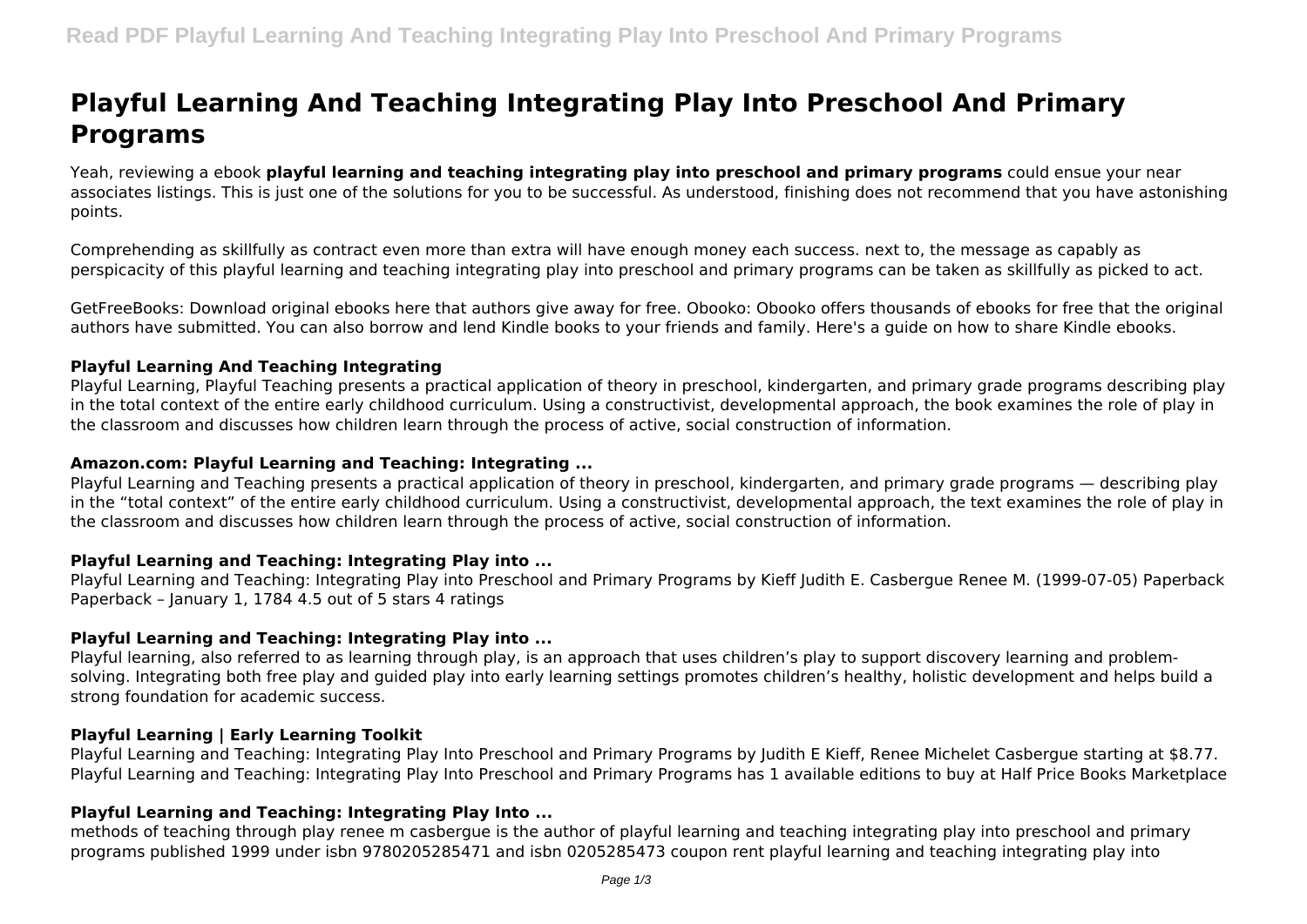# **Playful Learning And Teaching Integrating Play Into Preschool And Primary Programs**

Yeah, reviewing a ebook **playful learning and teaching integrating play into preschool and primary programs** could ensue your near associates listings. This is just one of the solutions for you to be successful. As understood, finishing does not recommend that you have astonishing points.

Comprehending as skillfully as contract even more than extra will have enough money each success. next to, the message as capably as perspicacity of this playful learning and teaching integrating play into preschool and primary programs can be taken as skillfully as picked to act.

GetFreeBooks: Download original ebooks here that authors give away for free. Obooko: Obooko offers thousands of ebooks for free that the original authors have submitted. You can also borrow and lend Kindle books to your friends and family. Here's a guide on how to share Kindle ebooks.

## **Playful Learning And Teaching Integrating**

Playful Learning, Playful Teaching presents a practical application of theory in preschool, kindergarten, and primary grade programs describing play in the total context of the entire early childhood curriculum. Using a constructivist, developmental approach, the book examines the role of play in the classroom and discusses how children learn through the process of active, social construction of information.

#### **Amazon.com: Playful Learning and Teaching: Integrating ...**

Playful Learning and Teaching presents a practical application of theory in preschool, kindergarten, and primary grade programs — describing play in the "total context" of the entire early childhood curriculum. Using a constructivist, developmental approach, the text examines the role of play in the classroom and discusses how children learn through the process of active, social construction of information.

#### **Playful Learning and Teaching: Integrating Play into ...**

Playful Learning and Teaching: Integrating Play into Preschool and Primary Programs by Kieff Judith E. Casbergue Renee M. (1999-07-05) Paperback Paperback – January 1, 1784 4.5 out of 5 stars 4 ratings

## **Playful Learning and Teaching: Integrating Play into ...**

Playful learning, also referred to as learning through play, is an approach that uses children's play to support discovery learning and problemsolving. Integrating both free play and guided play into early learning settings promotes children's healthy, holistic development and helps build a strong foundation for academic success.

#### **Playful Learning | Early Learning Toolkit**

Playful Learning and Teaching: Integrating Play Into Preschool and Primary Programs by Judith E Kieff, Renee Michelet Casbergue starting at \$8.77. Playful Learning and Teaching: Integrating Play Into Preschool and Primary Programs has 1 available editions to buy at Half Price Books Marketplace

## **Playful Learning and Teaching: Integrating Play Into ...**

methods of teaching through play renee m casbergue is the author of playful learning and teaching integrating play into preschool and primary programs published 1999 under isbn 9780205285471 and isbn 0205285473 coupon rent playful learning and teaching integrating play into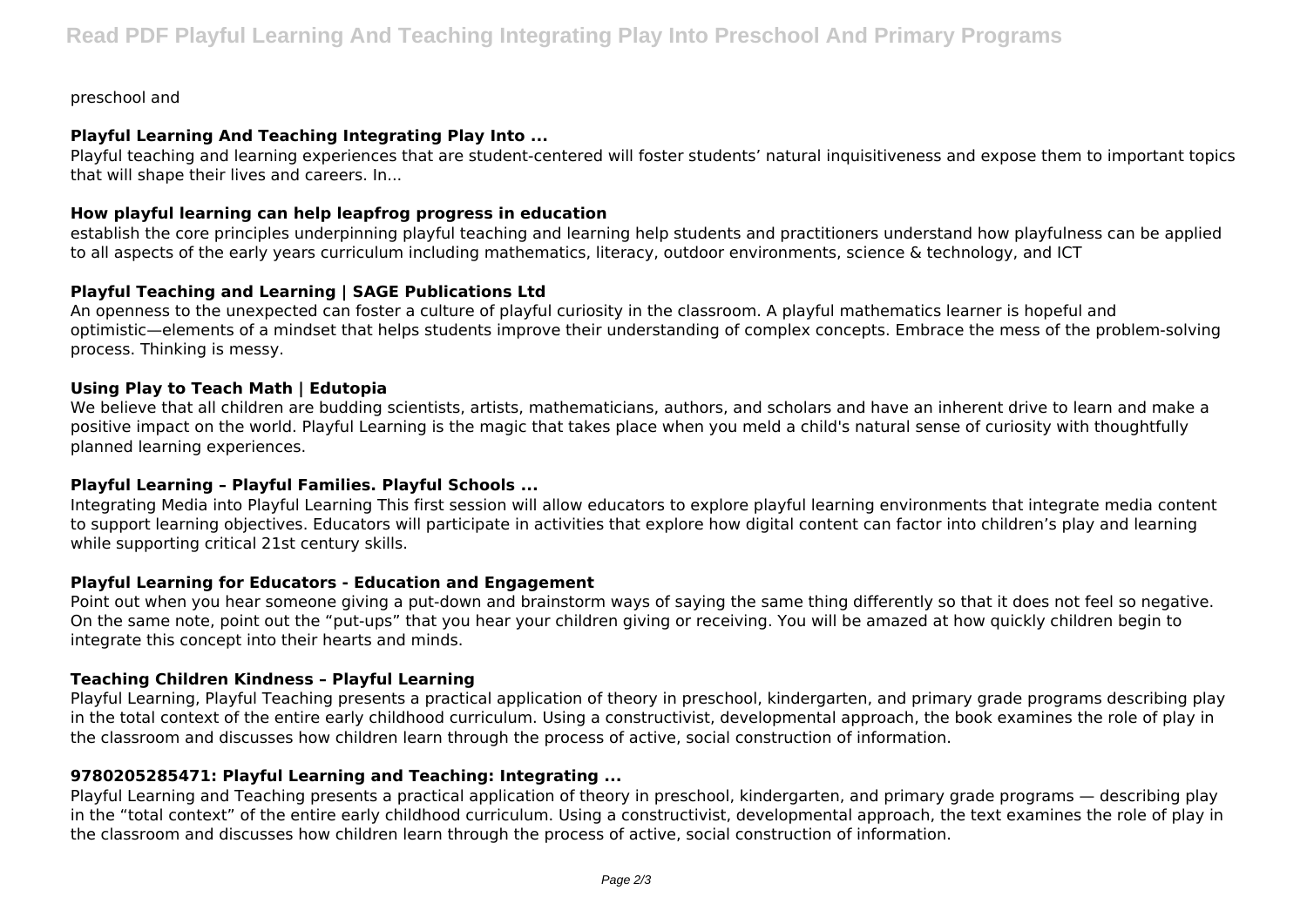preschool and

## **Playful Learning And Teaching Integrating Play Into ...**

Playful teaching and learning experiences that are student-centered will foster students' natural inquisitiveness and expose them to important topics that will shape their lives and careers. In...

## **How playful learning can help leapfrog progress in education**

establish the core principles underpinning playful teaching and learning help students and practitioners understand how playfulness can be applied to all aspects of the early years curriculum including mathematics, literacy, outdoor environments, science & technology, and ICT

## **Playful Teaching and Learning | SAGE Publications Ltd**

An openness to the unexpected can foster a culture of playful curiosity in the classroom. A playful mathematics learner is hopeful and optimistic—elements of a mindset that helps students improve their understanding of complex concepts. Embrace the mess of the problem-solving process. Thinking is messy.

## **Using Play to Teach Math | Edutopia**

We believe that all children are budding scientists, artists, mathematicians, authors, and scholars and have an inherent drive to learn and make a positive impact on the world. Playful Learning is the magic that takes place when you meld a child's natural sense of curiosity with thoughtfully planned learning experiences.

## **Playful Learning – Playful Families. Playful Schools ...**

Integrating Media into Playful Learning This first session will allow educators to explore playful learning environments that integrate media content to support learning objectives. Educators will participate in activities that explore how digital content can factor into children's play and learning while supporting critical 21st century skills.

## **Playful Learning for Educators - Education and Engagement**

Point out when you hear someone giving a put-down and brainstorm ways of saying the same thing differently so that it does not feel so negative. On the same note, point out the "put-ups" that you hear your children giving or receiving. You will be amazed at how quickly children begin to integrate this concept into their hearts and minds.

## **Teaching Children Kindness – Playful Learning**

Playful Learning, Playful Teaching presents a practical application of theory in preschool, kindergarten, and primary grade programs describing play in the total context of the entire early childhood curriculum. Using a constructivist, developmental approach, the book examines the role of play in the classroom and discusses how children learn through the process of active, social construction of information.

## **9780205285471: Playful Learning and Teaching: Integrating ...**

Playful Learning and Teaching presents a practical application of theory in preschool, kindergarten, and primary grade programs — describing play in the "total context" of the entire early childhood curriculum. Using a constructivist, developmental approach, the text examines the role of play in the classroom and discusses how children learn through the process of active, social construction of information.